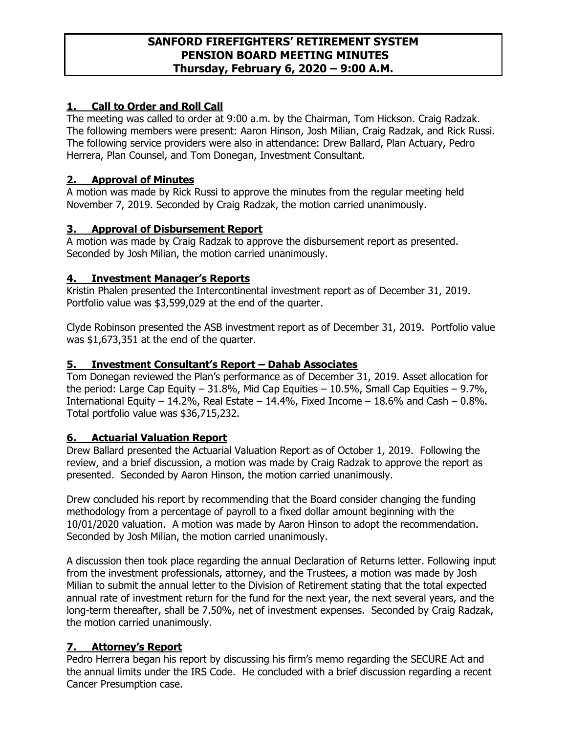## **SANFORD FIREFIGHTERS' RETIREMENT SYSTEM PENSION BOARD MEETING MINUTES Thursday, February 6, 2020 – 9:00 A.M.**

# **1. Call to Order and Roll Call**

The meeting was called to order at 9:00 a.m. by the Chairman, Tom Hickson. Craig Radzak. The following members were present: Aaron Hinson, Josh Milian, Craig Radzak, and Rick Russi. The following service providers were also in attendance: Drew Ballard, Plan Actuary, Pedro Herrera, Plan Counsel, and Tom Donegan, Investment Consultant.

## **2. Approval of Minutes**

A motion was made by Rick Russi to approve the minutes from the regular meeting held November 7, 2019. Seconded by Craig Radzak, the motion carried unanimously.

## **3. Approval of Disbursement Report**

A motion was made by Craig Radzak to approve the disbursement report as presented. Seconded by Josh Milian, the motion carried unanimously.

## **4. Investment Manager's Reports**

Kristin Phalen presented the Intercontinental investment report as of December 31, 2019. Portfolio value was \$3,599,029 at the end of the quarter.

Clyde Robinson presented the ASB investment report as of December 31, 2019. Portfolio value was \$1,673,351 at the end of the quarter.

## **5. Investment Consultant's Report – Dahab Associates**

Tom Donegan reviewed the Plan's performance as of December 31, 2019. Asset allocation for the period: Large Cap Equity – 31.8%, Mid Cap Equities – 10.5%, Small Cap Equities – 9.7%, International Equity – 14.2%, Real Estate – 14.4%, Fixed Income – 18.6% and Cash – 0.8%. Total portfolio value was \$36,715,232.

# **6. Actuarial Valuation Report**

Drew Ballard presented the Actuarial Valuation Report as of October 1, 2019. Following the review, and a brief discussion, a motion was made by Craig Radzak to approve the report as presented. Seconded by Aaron Hinson, the motion carried unanimously.

Drew concluded his report by recommending that the Board consider changing the funding methodology from a percentage of payroll to a fixed dollar amount beginning with the 10/01/2020 valuation. A motion was made by Aaron Hinson to adopt the recommendation. Seconded by Josh Milian, the motion carried unanimously.

A discussion then took place regarding the annual Declaration of Returns letter. Following input from the investment professionals, attorney, and the Trustees, a motion was made by Josh Milian to submit the annual letter to the Division of Retirement stating that the total expected annual rate of investment return for the fund for the next year, the next several years, and the long-term thereafter, shall be 7.50%, net of investment expenses. Seconded by Craig Radzak, the motion carried unanimously.

## **7. Attorney's Report**

Pedro Herrera began his report by discussing his firm's memo regarding the SECURE Act and the annual limits under the IRS Code. He concluded with a brief discussion regarding a recent Cancer Presumption case.